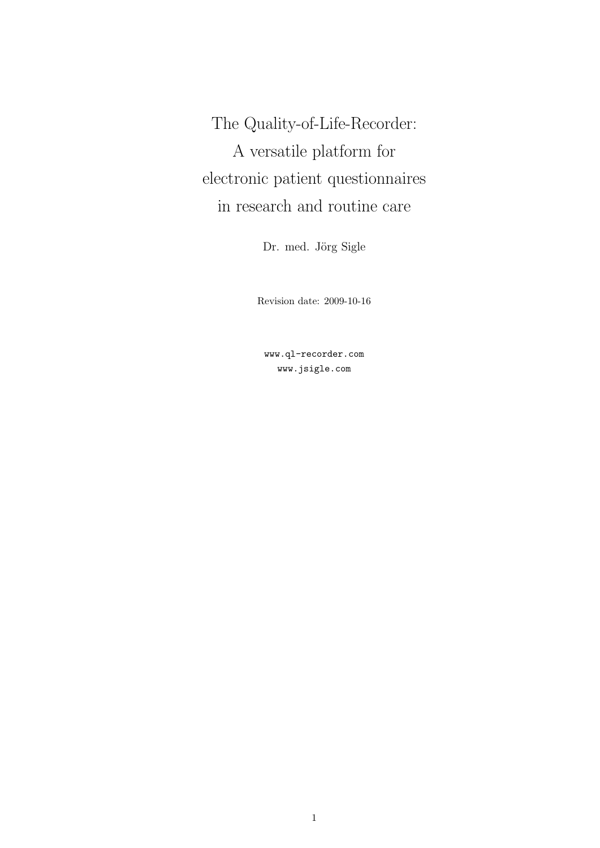The Quality-of-Life-Recorder: A versatile platform for electronic patient questionnaires in research and routine care

Dr. med. Jörg Sigle

Revision date: 2009-10-16

www.ql-recorder.com www.jsigle.com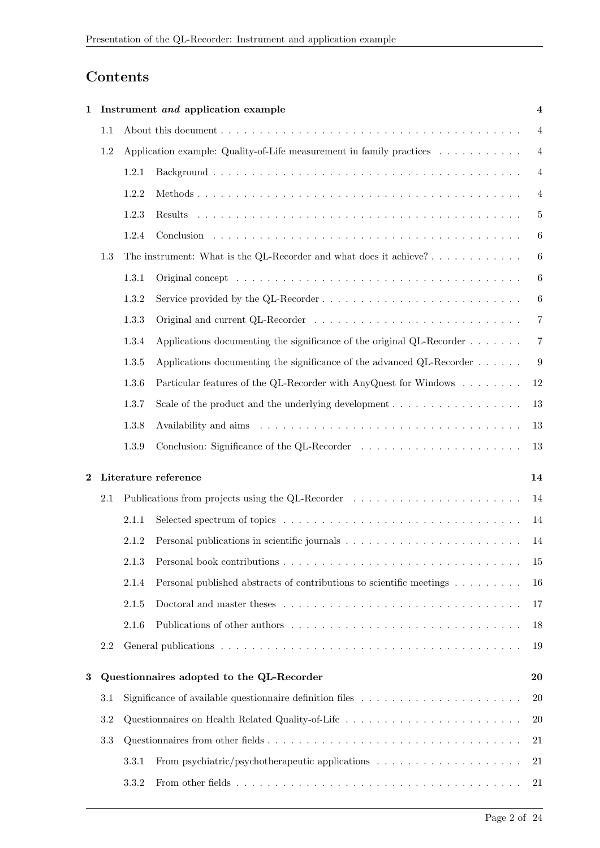# Contents

| 1        |           |       | Instrument and application example                                                                             | $\boldsymbol{4}$ |
|----------|-----------|-------|----------------------------------------------------------------------------------------------------------------|------------------|
|          | 1.1       |       |                                                                                                                | 4                |
|          | 1.2       |       | Application example: Quality-of-Life measurement in family practices                                           | $\overline{4}$   |
|          |           | 1.2.1 |                                                                                                                | $\overline{4}$   |
|          |           | 1.2.2 |                                                                                                                | $\overline{4}$   |
|          |           | 1.2.3 |                                                                                                                | $\overline{5}$   |
|          |           | 1.2.4 |                                                                                                                | 6                |
|          | 1.3       |       | The instrument: What is the QL-Recorder and what does it achieve?                                              | $\boldsymbol{6}$ |
|          |           | 1.3.1 |                                                                                                                | $\boldsymbol{6}$ |
|          |           | 1.3.2 |                                                                                                                | 6                |
|          |           | 1.3.3 |                                                                                                                | 7                |
|          |           | 1.3.4 | Applications documenting the significance of the original QL-Recorder $\dots \dots$                            | 7                |
|          |           | 1.3.5 | Applications documenting the significance of the advanced $QL$ -Recorder $\dots$                               | 9                |
|          |           | 1.3.6 | Particular features of the QL-Recorder with AnyQuest for Windows                                               | 12               |
|          |           | 1.3.7 | Scale of the product and the underlying development $\dots \dots \dots \dots \dots \dots$                      | 13               |
|          |           | 1.3.8 |                                                                                                                | 13               |
|          |           | 1.3.9 |                                                                                                                | 13               |
| $\bf{2}$ |           |       | Literature reference                                                                                           | 14               |
|          | 2.1       |       | Publications from projects using the QL-Recorder                                                               | 14               |
|          |           | 2.1.1 |                                                                                                                | 14               |
|          |           | 2.1.2 |                                                                                                                | 14               |
|          |           | 2.1.3 |                                                                                                                | 15               |
|          |           | 2.1.4 | Personal published abstracts of contributions to scientific meetings                                           | 16               |
|          |           | 2.1.5 |                                                                                                                | 17               |
|          |           | 2.1.6 | Publications of other authors                                                                                  | 18               |
|          | 2.2       |       |                                                                                                                | 19               |
| $\bf{3}$ |           |       | Questionnaires adopted to the QL-Recorder                                                                      | 20               |
|          | 3.1       |       | Significance of available questionnaire definition files $\dots \dots \dots \dots \dots \dots \dots$           | 20               |
|          | $\!3.2\!$ |       |                                                                                                                | 20               |
|          | 3.3       |       |                                                                                                                | 21               |
|          |           | 3.3.1 | From psychiatric/psychotherapeutic applications $\dots \dots \dots \dots \dots \dots \dots$                    | 21               |
|          |           | 3.3.2 | From other fields $\ldots \ldots \ldots \ldots \ldots \ldots \ldots \ldots \ldots \ldots \ldots \ldots \ldots$ | 21               |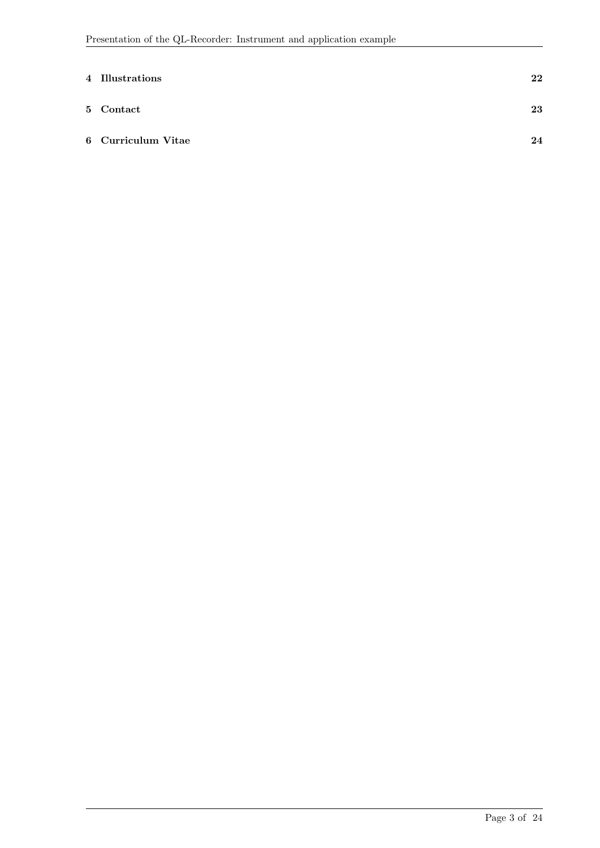| 4 Illustrations    | 22 |
|--------------------|----|
| 5 Contact          | 23 |
| 6 Curriculum Vitae | 24 |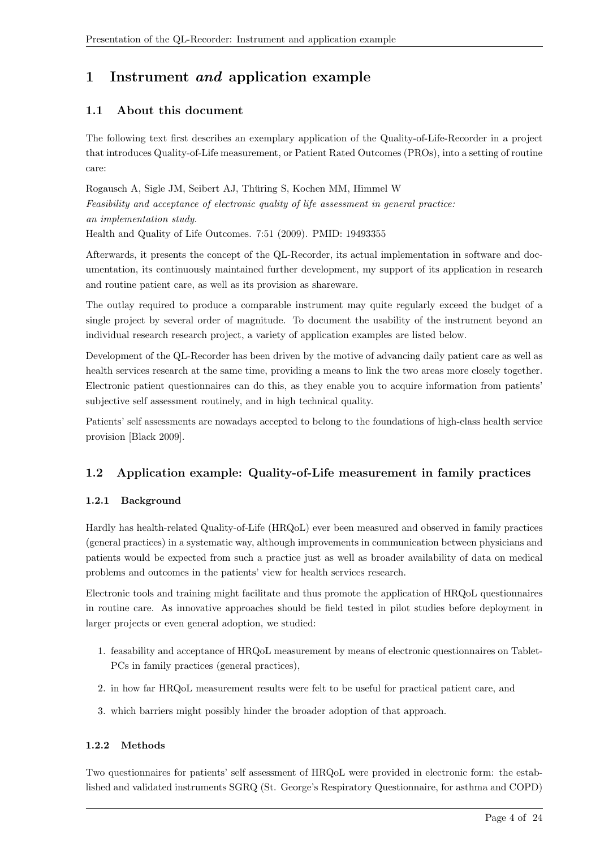# 1 Instrument and application example

## 1.1 About this document

The following text first describes an exemplary application of the Quality-of-Life-Recorder in a project that introduces Quality-of-Life measurement, or Patient Rated Outcomes (PROs), into a setting of routine care:

Rogausch A, Sigle JM, Seibert AJ, Thuring S, Kochen MM, Himmel W ¨ Feasibility and acceptance of electronic quality of life assessment in general practice: an implementation study. Health and Quality of Life Outcomes. 7:51 (2009). PMID: 19493355

Afterwards, it presents the concept of the QL-Recorder, its actual implementation in software and documentation, its continuously maintained further development, my support of its application in research and routine patient care, as well as its provision as shareware.

The outlay required to produce a comparable instrument may quite regularly exceed the budget of a single project by several order of magnitude. To document the usability of the instrument beyond an individual research research project, a variety of application examples are listed below.

Development of the QL-Recorder has been driven by the motive of advancing daily patient care as well as health services research at the same time, providing a means to link the two areas more closely together. Electronic patient questionnaires can do this, as they enable you to acquire information from patients' subjective self assessment routinely, and in high technical quality.

Patients' self assessments are nowadays accepted to belong to the foundations of high-class health service provision [Black 2009].

## 1.2 Application example: Quality-of-Life measurement in family practices

## 1.2.1 Background

Hardly has health-related Quality-of-Life (HRQoL) ever been measured and observed in family practices (general practices) in a systematic way, although improvements in communication between physicians and patients would be expected from such a practice just as well as broader availability of data on medical problems and outcomes in the patients' view for health services research.

Electronic tools and training might facilitate and thus promote the application of HRQoL questionnaires in routine care. As innovative approaches should be field tested in pilot studies before deployment in larger projects or even general adoption, we studied:

- 1. feasability and acceptance of HRQoL measurement by means of electronic questionnaires on Tablet-PCs in family practices (general practices),
- 2. in how far HRQoL measurement results were felt to be useful for practical patient care, and
- 3. which barriers might possibly hinder the broader adoption of that approach.

## 1.2.2 Methods

Two questionnaires for patients' self assessment of HRQoL were provided in electronic form: the established and validated instruments SGRQ (St. George's Respiratory Questionnaire, for asthma and COPD)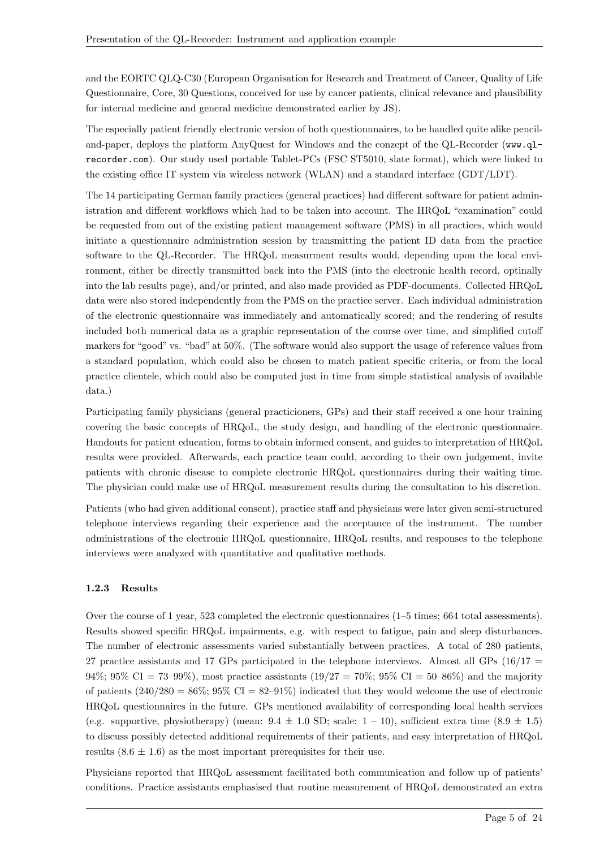and the EORTC QLQ-C30 (European Organisation for Research and Treatment of Cancer, Quality of Life Questionnaire, Core, 30 Questions, conceived for use by cancer patients, clinical relevance and plausibility for internal medicine and general medicine demonstrated earlier by JS).

The especially patient friendly electronic version of both questionnnaires, to be handled quite alike penciland-paper, deploys the platform AnyQuest for Windows and the conzept of the QL-Recorder (www.qlrecorder.com). Our study used portable Tablet-PCs (FSC ST5010, slate format), which were linked to the existing office IT system via wireless network (WLAN) and a standard interface (GDT/LDT).

The 14 participating German family practices (general practices) had different software for patient administration and different workflows which had to be taken into account. The HRQoL "examination" could be requested from out of the existing patient management software (PMS) in all practices, which would initiate a questionnaire administration session by transmitting the patient ID data from the practice software to the QL-Recorder. The HRQoL measurment results would, depending upon the local environment, either be directly transmitted back into the PMS (into the electronic health record, optinally into the lab results page), and/or printed, and also made provided as PDF-documents. Collected HRQoL data were also stored independently from the PMS on the practice server. Each individual administration of the electronic questionnaire was immediately and automatically scored; and the rendering of results included both numerical data as a graphic representation of the course over time, and simplified cutoff markers for "good" vs. "bad" at 50%. (The software would also support the usage of reference values from a standard population, which could also be chosen to match patient specific criteria, or from the local practice clientele, which could also be computed just in time from simple statistical analysis of available data.)

Participating family physicians (general practicioners, GPs) and their staff received a one hour training covering the basic concepts of HRQoL, the study design, and handling of the electronic questionnaire. Handouts for patient education, forms to obtain informed consent, and guides to interpretation of HRQoL results were provided. Afterwards, each practice team could, according to their own judgement, invite patients with chronic disease to complete electronic HRQoL questionnaires during their waiting time. The physician could make use of HRQoL measurement results during the consultation to his discretion.

Patients (who had given additional consent), practice staff and physicians were later given semi-structured telephone interviews regarding their experience and the acceptance of the instrument. The number administrations of the electronic HRQoL questionnaire, HRQoL results, and responses to the telephone interviews were analyzed with quantitative and qualitative methods.

#### 1.2.3 Results

Over the course of 1 year, 523 completed the electronic questionnaires (1–5 times; 664 total assessments). Results showed specific HRQoL impairments, e.g. with respect to fatigue, pain and sleep disturbances. The number of electronic assessments varied substantially between practices. A total of 280 patients, 27 practice assistants and 17 GPs participated in the telephone interviews. Almost all GPs (16/17 = 94%; 95% CI = 73-99%), most practice assistants (19/27 = 70%; 95% CI = 50-86%) and the majority of patients  $(240/280 = 86\%, 95\% \text{ CI} = 82-91\%)$  indicated that they would welcome the use of electronic HRQoL questionnaires in the future. GPs mentioned availability of corresponding local health services (e.g. supportive, physiotherapy) (mean:  $9.4 \pm 1.0$  SD; scale:  $1 - 10$ ), sufficient extra time  $(8.9 \pm 1.5)$ to discuss possibly detected additional requirements of their patients, and easy interpretation of HRQoL results  $(8.6 \pm 1.6)$  as the most important prerequisites for their use.

Physicians reported that HRQoL assessment facilitated both communication and follow up of patients' conditions. Practice assistants emphasised that routine measurement of HRQoL demonstrated an extra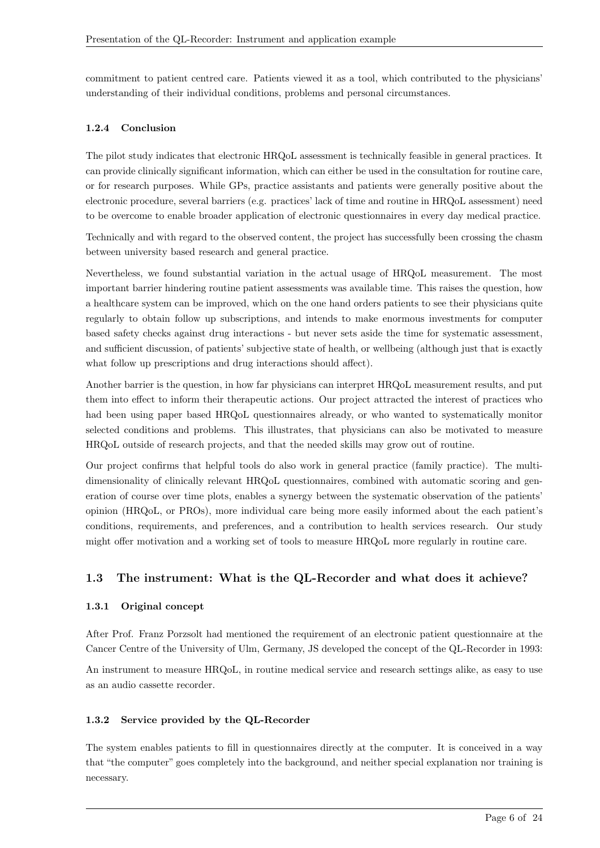commitment to patient centred care. Patients viewed it as a tool, which contributed to the physicians' understanding of their individual conditions, problems and personal circumstances.

#### 1.2.4 Conclusion

The pilot study indicates that electronic HRQoL assessment is technically feasible in general practices. It can provide clinically significant information, which can either be used in the consultation for routine care, or for research purposes. While GPs, practice assistants and patients were generally positive about the electronic procedure, several barriers (e.g. practices' lack of time and routine in HRQoL assessment) need to be overcome to enable broader application of electronic questionnaires in every day medical practice.

Technically and with regard to the observed content, the project has successfully been crossing the chasm between university based research and general practice.

Nevertheless, we found substantial variation in the actual usage of HRQoL measurement. The most important barrier hindering routine patient assessments was available time. This raises the question, how a healthcare system can be improved, which on the one hand orders patients to see their physicians quite regularly to obtain follow up subscriptions, and intends to make enormous investments for computer based safety checks against drug interactions - but never sets aside the time for systematic assessment, and sufficient discussion, of patients' subjective state of health, or wellbeing (although just that is exactly what follow up prescriptions and drug interactions should affect).

Another barrier is the question, in how far physicians can interpret HRQoL measurement results, and put them into effect to inform their therapeutic actions. Our project attracted the interest of practices who had been using paper based HRQoL questionnaires already, or who wanted to systematically monitor selected conditions and problems. This illustrates, that physicians can also be motivated to measure HRQoL outside of research projects, and that the needed skills may grow out of routine.

Our project confirms that helpful tools do also work in general practice (family practice). The multidimensionality of clinically relevant HRQoL questionnaires, combined with automatic scoring and generation of course over time plots, enables a synergy between the systematic observation of the patients' opinion (HRQoL, or PROs), more individual care being more easily informed about the each patient's conditions, requirements, and preferences, and a contribution to health services research. Our study might offer motivation and a working set of tools to measure HRQoL more regularly in routine care.

## 1.3 The instrument: What is the QL-Recorder and what does it achieve?

#### 1.3.1 Original concept

After Prof. Franz Porzsolt had mentioned the requirement of an electronic patient questionnaire at the Cancer Centre of the University of Ulm, Germany, JS developed the concept of the QL-Recorder in 1993:

An instrument to measure HRQoL, in routine medical service and research settings alike, as easy to use as an audio cassette recorder.

#### 1.3.2 Service provided by the QL-Recorder

The system enables patients to fill in questionnaires directly at the computer. It is conceived in a way that "the computer" goes completely into the background, and neither special explanation nor training is necessary.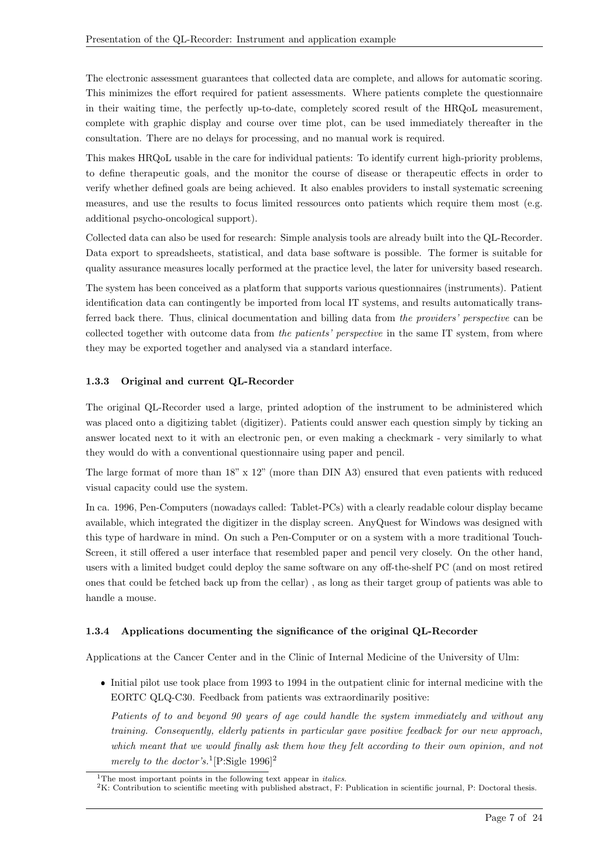The electronic assessment guarantees that collected data are complete, and allows for automatic scoring. This minimizes the effort required for patient assessments. Where patients complete the questionnaire in their waiting time, the perfectly up-to-date, completely scored result of the HRQoL measurement, complete with graphic display and course over time plot, can be used immediately thereafter in the consultation. There are no delays for processing, and no manual work is required.

This makes HRQoL usable in the care for individual patients: To identify current high-priority problems, to define therapeutic goals, and the monitor the course of disease or therapeutic effects in order to verify whether defined goals are being achieved. It also enables providers to install systematic screening measures, and use the results to focus limited ressources onto patients which require them most (e.g. additional psycho-oncological support).

Collected data can also be used for research: Simple analysis tools are already built into the QL-Recorder. Data export to spreadsheets, statistical, and data base software is possible. The former is suitable for quality assurance measures locally performed at the practice level, the later for university based research.

The system has been conceived as a platform that supports various questionnaires (instruments). Patient identification data can contingently be imported from local IT systems, and results automatically transferred back there. Thus, clinical documentation and billing data from the providers' perspective can be collected together with outcome data from the patients' perspective in the same IT system, from where they may be exported together and analysed via a standard interface.

#### 1.3.3 Original and current QL-Recorder

The original QL-Recorder used a large, printed adoption of the instrument to be administered which was placed onto a digitizing tablet (digitizer). Patients could answer each question simply by ticking an answer located next to it with an electronic pen, or even making a checkmark - very similarly to what they would do with a conventional questionnaire using paper and pencil.

The large format of more than 18" x 12" (more than DIN A3) ensured that even patients with reduced visual capacity could use the system.

In ca. 1996, Pen-Computers (nowadays called: Tablet-PCs) with a clearly readable colour display became available, which integrated the digitizer in the display screen. AnyQuest for Windows was designed with this type of hardware in mind. On such a Pen-Computer or on a system with a more traditional Touch-Screen, it still offered a user interface that resembled paper and pencil very closely. On the other hand, users with a limited budget could deploy the same software on any off-the-shelf PC (and on most retired ones that could be fetched back up from the cellar) , as long as their target group of patients was able to handle a mouse.

#### 1.3.4 Applications documenting the significance of the original QL-Recorder

Applications at the Cancer Center and in the Clinic of Internal Medicine of the University of Ulm:

 Initial pilot use took place from 1993 to 1994 in the outpatient clinic for internal medicine with the EORTC QLQ-C30. Feedback from patients was extraordinarily positive:

Patients of to and beyond 90 years of age could handle the system immediately and without any training. Consequently, elderly patients in particular gave positive feedback for our new approach, which meant that we would finally ask them how they felt according to their own opinion, and not merely to the doctor's.<sup>1</sup>[P:Sigle 1996]<sup>2</sup>

<sup>&</sup>lt;sup>1</sup>The most important points in the following text appear in *italics*.

<sup>2</sup>K: Contribution to scientific meeting with published abstract, F: Publication in scientific journal, P: Doctoral thesis.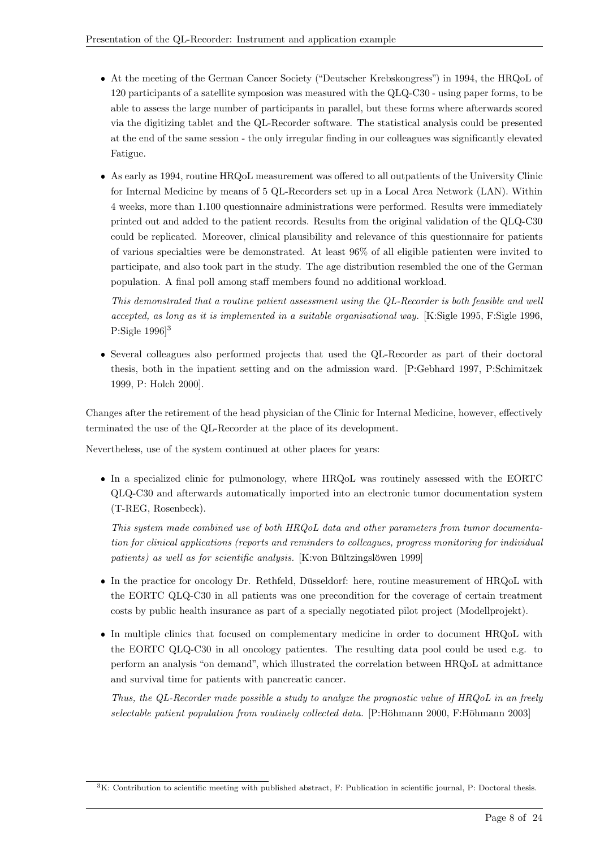- At the meeting of the German Cancer Society ("Deutscher Krebskongress") in 1994, the HRQoL of 120 participants of a satellite symposion was measured with the QLQ-C30 - using paper forms, to be able to assess the large number of participants in parallel, but these forms where afterwards scored via the digitizing tablet and the QL-Recorder software. The statistical analysis could be presented at the end of the same session - the only irregular finding in our colleagues was significantly elevated Fatigue.
- As early as 1994, routine HRQoL measurement was offered to all outpatients of the University Clinic for Internal Medicine by means of 5 QL-Recorders set up in a Local Area Network (LAN). Within 4 weeks, more than 1.100 questionnaire administrations were performed. Results were immediately printed out and added to the patient records. Results from the original validation of the QLQ-C30 could be replicated. Moreover, clinical plausibility and relevance of this questionnaire for patients of various specialties were be demonstrated. At least 96% of all eligible patienten were invited to participate, and also took part in the study. The age distribution resembled the one of the German population. A final poll among staff members found no additional workload.

This demonstrated that a routine patient assessment using the QL-Recorder is both feasible and well accepted, as long as it is implemented in a suitable organisational way. [K:Sigle 1995, F:Sigle 1996, P:Sigle 1996]<sup>3</sup>

 Several colleagues also performed projects that used the QL-Recorder as part of their doctoral thesis, both in the inpatient setting and on the admission ward. [P:Gebhard 1997, P:Schimitzek 1999, P: Holch 2000].

Changes after the retirement of the head physician of the Clinic for Internal Medicine, however, effectively terminated the use of the QL-Recorder at the place of its development.

Nevertheless, use of the system continued at other places for years:

 In a specialized clinic for pulmonology, where HRQoL was routinely assessed with the EORTC QLQ-C30 and afterwards automatically imported into an electronic tumor documentation system (T-REG, Rosenbeck).

This system made combined use of both HRQoL data and other parameters from tumor documentation for clinical applications (reports and reminders to colleagues, progress monitoring for individual patients) as well as for scientific analysis. [K:von Bültzingslöwen 1999]

- In the practice for oncology Dr. Rethfeld, Düsseldorf: here, routine measurement of HRQoL with the EORTC QLQ-C30 in all patients was one precondition for the coverage of certain treatment costs by public health insurance as part of a specially negotiated pilot project (Modellprojekt).
- In multiple clinics that focused on complementary medicine in order to document HRQoL with the EORTC QLQ-C30 in all oncology patientes. The resulting data pool could be used e.g. to perform an analysis "on demand", which illustrated the correlation between HRQoL at admittance and survival time for patients with pancreatic cancer.

Thus, the QL-Recorder made possible a study to analyze the prognostic value of HRQoL in an freely selectable patient population from routinely collected data. [P:Höhmann 2000, F:Höhmann 2003]

 ${}^{3}$ K: Contribution to scientific meeting with published abstract, F: Publication in scientific journal, P: Doctoral thesis.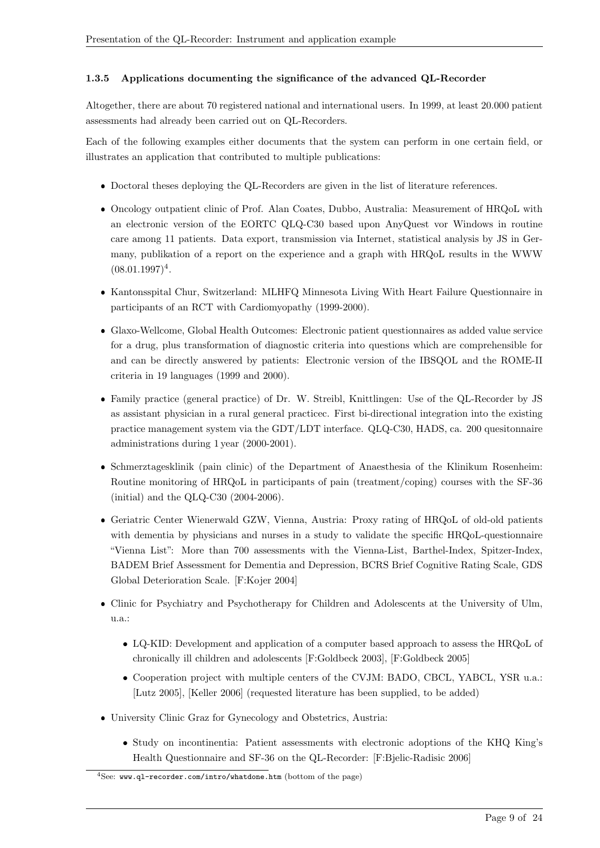#### 1.3.5 Applications documenting the significance of the advanced QL-Recorder

Altogether, there are about 70 registered national and international users. In 1999, at least 20.000 patient assessments had already been carried out on QL-Recorders.

Each of the following examples either documents that the system can perform in one certain field, or illustrates an application that contributed to multiple publications:

- Doctoral theses deploying the QL-Recorders are given in the list of literature references.
- Oncology outpatient clinic of Prof. Alan Coates, Dubbo, Australia: Measurement of HRQoL with an electronic version of the EORTC QLQ-C30 based upon AnyQuest vor Windows in routine care among 11 patients. Data export, transmission via Internet, statistical analysis by JS in Germany, publikation of a report on the experience and a graph with HRQoL results in the WWW  $(08.01.1997)^4$ .
- Kantonsspital Chur, Switzerland: MLHFQ Minnesota Living With Heart Failure Questionnaire in participants of an RCT with Cardiomyopathy (1999-2000).
- Glaxo-Wellcome, Global Health Outcomes: Electronic patient questionnaires as added value service for a drug, plus transformation of diagnostic criteria into questions which are comprehensible for and can be directly answered by patients: Electronic version of the IBSQOL and the ROME-II criteria in 19 languages (1999 and 2000).
- Family practice (general practice) of Dr. W. Streibl, Knittlingen: Use of the QL-Recorder by JS as assistant physician in a rural general practicec. First bi-directional integration into the existing practice management system via the GDT/LDT interface. QLQ-C30, HADS, ca. 200 quesitonnaire administrations during 1 year (2000-2001).
- Schmerztagesklinik (pain clinic) of the Department of Anaesthesia of the Klinikum Rosenheim: Routine monitoring of HRQoL in participants of pain (treatment/coping) courses with the SF-36 (initial) and the QLQ-C30 (2004-2006).
- Geriatric Center Wienerwald GZW, Vienna, Austria: Proxy rating of HRQoL of old-old patients with dementia by physicians and nurses in a study to validate the specific HRQoL-questionnaire "Vienna List": More than 700 assessments with the Vienna-List, Barthel-Index, Spitzer-Index, BADEM Brief Assessment for Dementia and Depression, BCRS Brief Cognitive Rating Scale, GDS Global Deterioration Scale. [F:Kojer 2004]
- Clinic for Psychiatry and Psychotherapy for Children and Adolescents at the University of Ulm, u.a.:
	- LQ-KID: Development and application of a computer based approach to assess the HRQoL of chronically ill children and adolescents [F:Goldbeck 2003], [F:Goldbeck 2005]
	- Cooperation project with multiple centers of the CVJM: BADO, CBCL, YABCL, YSR u.a.: [Lutz 2005], [Keller 2006] (requested literature has been supplied, to be added)
- University Clinic Graz for Gynecology and Obstetrics, Austria:
	- Study on incontinentia: Patient assessments with electronic adoptions of the KHQ King's Health Questionnaire and SF-36 on the QL-Recorder: [F:Bjelic-Radisic 2006]

 $4$ See: www.ql-recorder.com/intro/whatdone.htm (bottom of the page)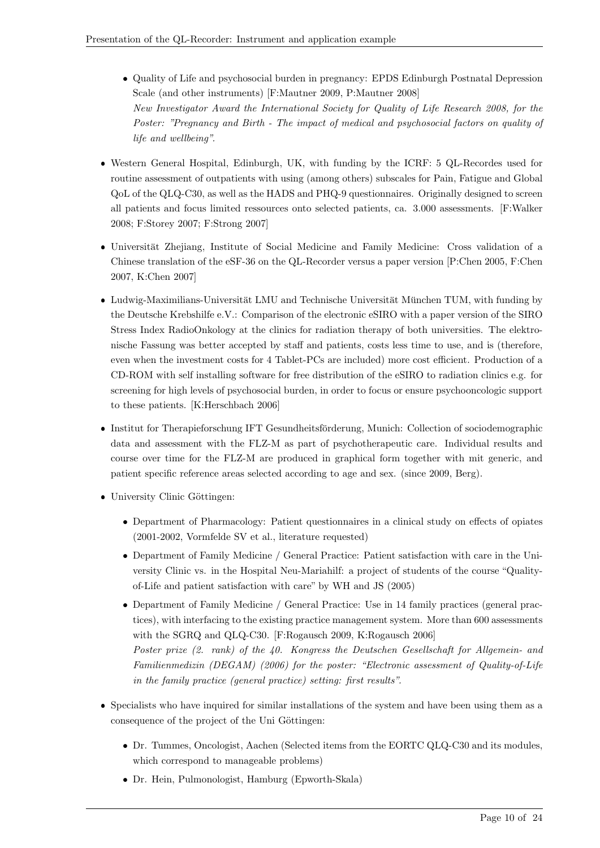- Quality of Life and psychosocial burden in pregnancy: EPDS Edinburgh Postnatal Depression Scale (and other instruments) [F:Mautner 2009, P:Mautner 2008] New Investigator Award the International Society for Quality of Life Research 2008, for the Poster: "Pregnancy and Birth - The impact of medical and psychosocial factors on quality of life and wellbeing".
- Western General Hospital, Edinburgh, UK, with funding by the ICRF: 5 QL-Recordes used for routine assessment of outpatients with using (among others) subscales for Pain, Fatigue and Global QoL of the QLQ-C30, as well as the HADS and PHQ-9 questionnaires. Originally designed to screen all patients and focus limited ressources onto selected patients, ca. 3.000 assessments. [F:Walker 2008; F:Storey 2007; F:Strong 2007]
- Universität Zhejiang, Institute of Social Medicine and Family Medicine: Cross validation of a Chinese translation of the eSF-36 on the QL-Recorder versus a paper version [P:Chen 2005, F:Chen 2007, K:Chen 2007]
- Ludwig-Maximilians-Universität LMU and Technische Universität München TUM, with funding by the Deutsche Krebshilfe e.V.: Comparison of the electronic eSIRO with a paper version of the SIRO Stress Index RadioOnkology at the clinics for radiation therapy of both universities. The elektronische Fassung was better accepted by staff and patients, costs less time to use, and is (therefore, even when the investment costs for 4 Tablet-PCs are included) more cost efficient. Production of a CD-ROM with self installing software for free distribution of the eSIRO to radiation clinics e.g. for screening for high levels of psychosocial burden, in order to focus or ensure psychooncologic support to these patients. [K:Herschbach 2006]
- $\bullet$  Institut for Therapieforschung IFT Gesundheitsförderung, Munich: Collection of sociodemographic data and assessment with the FLZ-M as part of psychotherapeutic care. Individual results and course over time for the FLZ-M are produced in graphical form together with mit generic, and patient specific reference areas selected according to age and sex. (since 2009, Berg).
- University Clinic Göttingen:
	- Department of Pharmacology: Patient questionnaires in a clinical study on effects of opiates (2001-2002, Vormfelde SV et al., literature requested)
	- Department of Family Medicine / General Practice: Patient satisfaction with care in the University Clinic vs. in the Hospital Neu-Mariahilf: a project of students of the course "Qualityof-Life and patient satisfaction with care" by WH and JS (2005)
	- Department of Family Medicine / General Practice: Use in 14 family practices (general practices), with interfacing to the existing practice management system. More than 600 assessments with the SGRQ and QLQ-C30. [F:Rogausch 2009, K:Rogausch 2006] Poster prize (2. rank) of the 40. Kongress the Deutschen Gesellschaft for Allgemein- and Familienmedizin (DEGAM) (2006) for the poster: "Electronic assessment of Quality-of-Life in the family practice (general practice) setting: first results".
- Specialists who have inquired for similar installations of the system and have been using them as a consequence of the project of the Uni Göttingen:
	- Dr. Tummes, Oncologist, Aachen (Selected items from the EORTC QLQ-C30 and its modules, which correspond to manageable problems)
	- Dr. Hein, Pulmonologist, Hamburg (Epworth-Skala)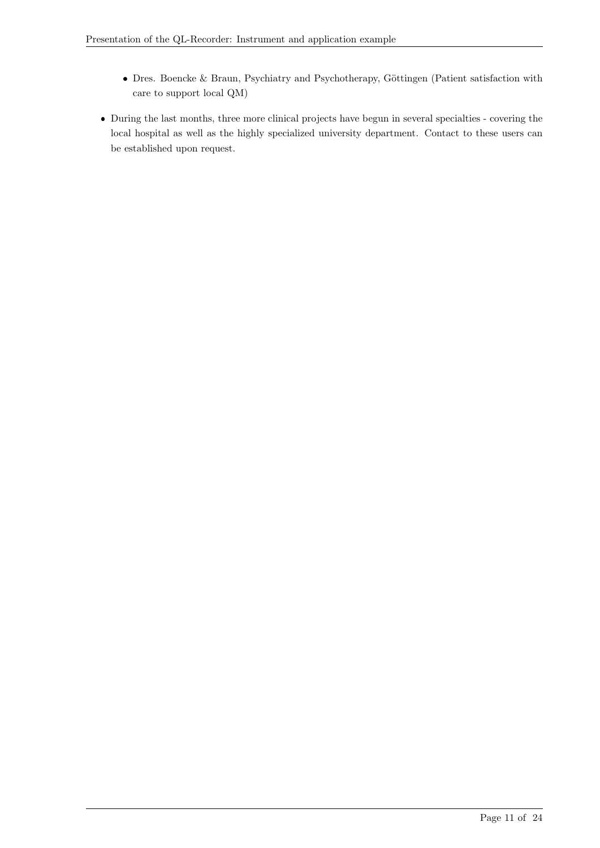- Dres. Boencke & Braun, Psychiatry and Psychotherapy, Göttingen (Patient satisfaction with care to support local QM)
- During the last months, three more clinical projects have begun in several specialties covering the local hospital as well as the highly specialized university department. Contact to these users can be established upon request.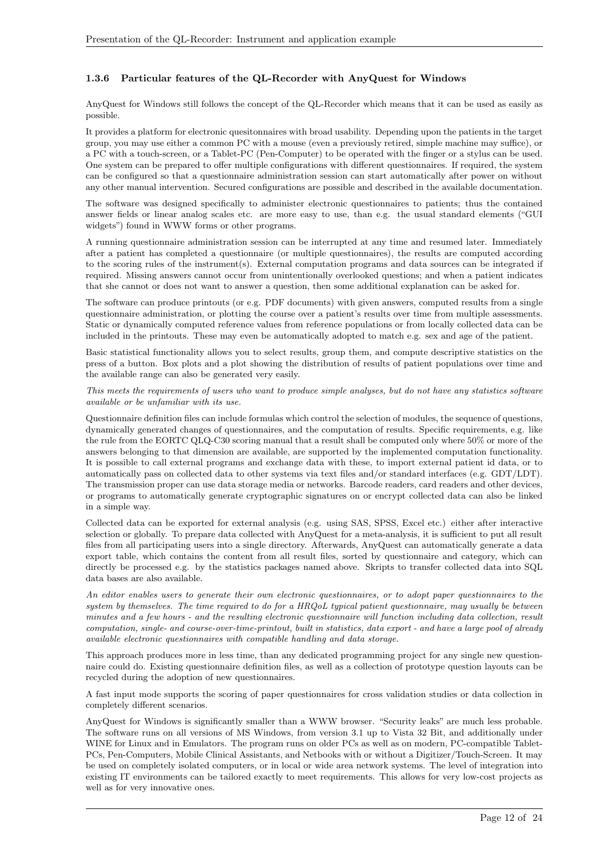#### 1.3.6 Particular features of the QL-Recorder with AnyQuest for Windows

AnyQuest for Windows still follows the concept of the QL-Recorder which means that it can be used as easily as possible.

It provides a platform for electronic quesitonnaires with broad usability. Depending upon the patients in the target group, you may use either a common PC with a mouse (even a previously retired, simple machine may suffice), or a PC with a touch-screen, or a Tablet-PC (Pen-Computer) to be operated with the finger or a stylus can be used. One system can be prepared to offer multiple configurations with different questionnaires. If required, the system can be configured so that a questionnaire administration session can start automatically after power on without any other manual intervention. Secured configurations are possible and described in the available documentation.

The software was designed specifically to administer electronic questionnaires to patients; thus the contained answer fields or linear analog scales etc. are more easy to use, than e.g. the usual standard elements ("GUI widgets") found in WWW forms or other programs.

A running questionnaire administration session can be interrupted at any time and resumed later. Immediately after a patient has completed a questionnaire (or multiple questionnaires), the results are computed according to the scoring rules of the instrument(s). External computation programs and data sources can be integrated if required. Missing answers cannot occur from unintentionally overlooked questions; and when a patient indicates that she cannot or does not want to answer a question, then some additional explanation can be asked for.

The software can produce printouts (or e.g. PDF documents) with given answers, computed results from a single questionnaire administration, or plotting the course over a patient's results over time from multiple assessments. Static or dynamically computed reference values from reference populations or from locally collected data can be included in the printouts. These may even be automatically adopted to match e.g. sex and age of the patient.

Basic statistical functionality allows you to select results, group them, and compute descriptive statistics on the press of a button. Box plots and a plot showing the distribution of results of patient populations over time and the available range can also be generated very easily.

#### This meets the requirements of users who want to produce simple analyses, but do not have any statistics software available or be unfamiliar with its use.

Questionnaire definition files can include formulas which control the selection of modules, the sequence of questions, dynamically generated changes of questionnaires, and the computation of results. Specific requirements, e.g. like the rule from the EORTC QLQ-C30 scoring manual that a result shall be computed only where 50% or more of the answers belonging to that dimension are available, are supported by the implemented computation functionality. It is possible to call external programs and exchange data with these, to import external patient id data, or to automatically pass on collected data to other systems via text files and/or standard interfaces (e.g. GDT/LDT). The transmission proper can use data storage media or networks. Barcode readers, card readers and other devices, or programs to automatically generate cryptographic signatures on or encrypt collected data can also be linked in a simple way.

Collected data can be exported for external analysis (e.g. using SAS, SPSS, Excel etc.) either after interactive selection or globally. To prepare data collected with AnyQuest for a meta-analysis, it is sufficient to put all result files from all participating users into a single directory. Afterwards, AnyQuest can automatically generate a data export table, which contains the content from all result files, sorted by questionnaire and category, which can directly be processed e.g. by the statistics packages named above. Skripts to transfer collected data into SQL data bases are also available.

An editor enables users to generate their own electronic questionnaires, or to adopt paper questionnaires to the system by themselves. The time required to do for a HRQoL typical patient questionnaire, may usually be between minutes and a few hours - and the resulting electronic questionnaire will function including data collection, result computation, single- and course-over-time-printout, built in statistics, data export - and have a large pool of already available electronic questionnaires with compatible handling and data storage.

This approach produces more in less time, than any dedicated programming project for any single new questionnaire could do. Existing questionnaire definition files, as well as a collection of prototype question layouts can be recycled during the adoption of new questionnaires.

A fast input mode supports the scoring of paper questionnaires for cross validation studies or data collection in completely different scenarios.

AnyQuest for Windows is significantly smaller than a WWW browser. "Security leaks" are much less probable. The software runs on all versions of MS Windows, from version 3.1 up to Vista 32 Bit, and additionally under WINE for Linux and in Emulators. The program runs on older PCs as well as on modern, PC-compatible Tablet-PCs, Pen-Computers, Mobile Clinical Assistants, and Netbooks with or without a Digitizer/Touch-Screen. It may be used on completely isolated computers, or in local or wide area network systems. The level of integration into existing IT environments can be tailored exactly to meet requirements. This allows for very low-cost projects as well as for very innovative ones.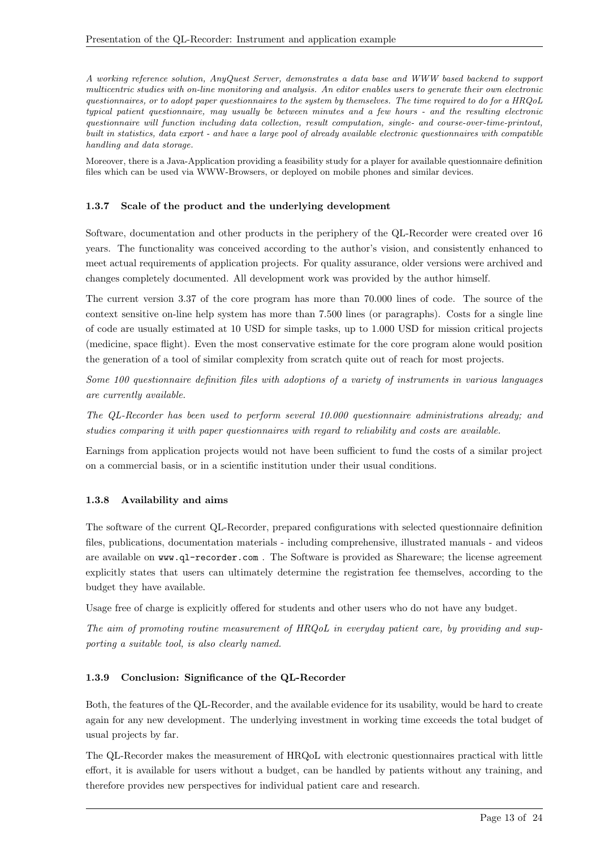A working reference solution, AnyQuest Server, demonstrates a data base and WWW based backend to support multicentric studies with on-line monitoring and analysis. An editor enables users to generate their own electronic questionnaires, or to adopt paper questionnaires to the system by themselves. The time required to do for a HRQoL typical patient questionnaire, may usually be between minutes and a few hours - and the resulting electronic questionnaire will function including data collection, result computation, single- and course-over-time-printout, built in statistics, data export - and have a large pool of already available electronic questionnaires with compatible handling and data storage.

Moreover, there is a Java-Application providing a feasibility study for a player for available questionnaire definition files which can be used via WWW-Browsers, or deployed on mobile phones and similar devices.

#### 1.3.7 Scale of the product and the underlying development

Software, documentation and other products in the periphery of the QL-Recorder were created over 16 years. The functionality was conceived according to the author's vision, and consistently enhanced to meet actual requirements of application projects. For quality assurance, older versions were archived and changes completely documented. All development work was provided by the author himself.

The current version 3.37 of the core program has more than 70.000 lines of code. The source of the context sensitive on-line help system has more than 7.500 lines (or paragraphs). Costs for a single line of code are usually estimated at 10 USD for simple tasks, up to 1.000 USD for mission critical projects (medicine, space flight). Even the most conservative estimate for the core program alone would position the generation of a tool of similar complexity from scratch quite out of reach for most projects.

Some 100 questionnaire definition files with adoptions of a variety of instruments in various languages are currently available.

The QL-Recorder has been used to perform several 10.000 questionnaire administrations already; and studies comparing it with paper questionnaires with regard to reliability and costs are available.

Earnings from application projects would not have been sufficient to fund the costs of a similar project on a commercial basis, or in a scientific institution under their usual conditions.

#### 1.3.8 Availability and aims

The software of the current QL-Recorder, prepared configurations with selected questionnaire definition files, publications, documentation materials - including comprehensive, illustrated manuals - and videos are available on www.ql-recorder.com . The Software is provided as Shareware; the license agreement explicitly states that users can ultimately determine the registration fee themselves, according to the budget they have available.

Usage free of charge is explicitly offered for students and other users who do not have any budget.

The aim of promoting routine measurement of HRQoL in everyday patient care, by providing and supporting a suitable tool, is also clearly named.

#### 1.3.9 Conclusion: Significance of the QL-Recorder

Both, the features of the QL-Recorder, and the available evidence for its usability, would be hard to create again for any new development. The underlying investment in working time exceeds the total budget of usual projects by far.

The QL-Recorder makes the measurement of HRQoL with electronic questionnaires practical with little effort, it is available for users without a budget, can be handled by patients without any training, and therefore provides new perspectives for individual patient care and research.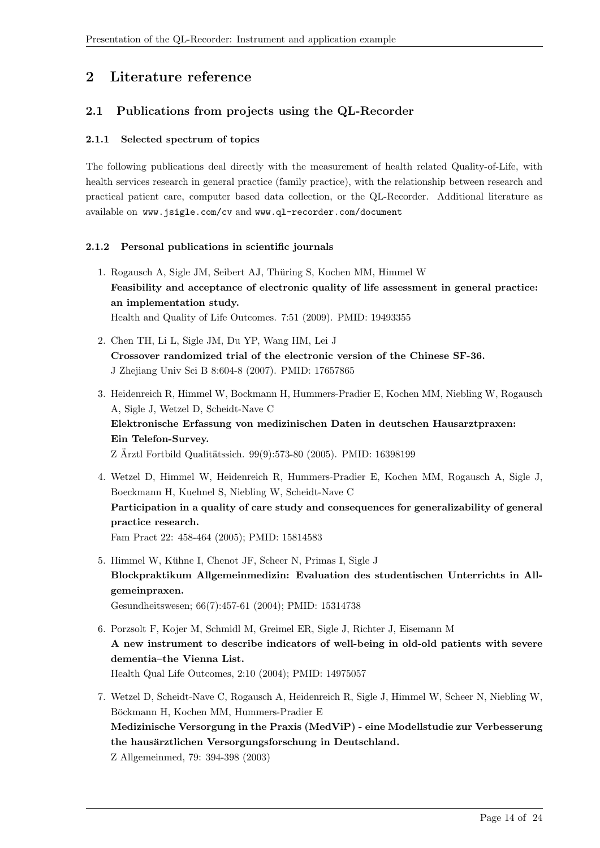# 2 Literature reference

## 2.1 Publications from projects using the QL-Recorder

#### 2.1.1 Selected spectrum of topics

The following publications deal directly with the measurement of health related Quality-of-Life, with health services research in general practice (family practice), with the relationship between research and practical patient care, computer based data collection, or the QL-Recorder. Additional literature as available on www.jsigle.com/cv and www.ql-recorder.com/document

#### 2.1.2 Personal publications in scientific journals

- 1. Rogausch A, Sigle JM, Seibert AJ, Thuring S, Kochen MM, Himmel W ¨ Feasibility and acceptance of electronic quality of life assessment in general practice: an implementation study. Health and Quality of Life Outcomes. 7:51 (2009). PMID: 19493355
- 2. Chen TH, Li L, Sigle JM, Du YP, Wang HM, Lei J Crossover randomized trial of the electronic version of the Chinese SF-36. J Zhejiang Univ Sci B 8:604-8 (2007). PMID: 17657865
- 3. Heidenreich R, Himmel W, Bockmann H, Hummers-Pradier E, Kochen MM, Niebling W, Rogausch A, Sigle J, Wetzel D, Scheidt-Nave C Elektronische Erfassung von medizinischen Daten in deutschen Hausarztpraxen: Ein Telefon-Survey.  $Z$  Ärztl Fortbild Qualitätssich. 99(9):573-80 (2005). PMID: 16398199
- 4. Wetzel D, Himmel W, Heidenreich R, Hummers-Pradier E, Kochen MM, Rogausch A, Sigle J, Boeckmann H, Kuehnel S, Niebling W, Scheidt-Nave C Participation in a quality of care study and consequences for generalizability of general practice research. Fam Pract 22: 458-464 (2005); PMID: 15814583
- 5. Himmel W, Kühne I, Chenot JF, Scheer N, Primas I, Sigle J Blockpraktikum Allgemeinmedizin: Evaluation des studentischen Unterrichts in Allgemeinpraxen. Gesundheitswesen; 66(7):457-61 (2004); PMID: 15314738
- 6. Porzsolt F, Kojer M, Schmidl M, Greimel ER, Sigle J, Richter J, Eisemann M A new instrument to describe indicators of well-being in old-old patients with severe dementia–the Vienna List. Health Qual Life Outcomes, 2:10 (2004); PMID: 14975057
- 7. Wetzel D, Scheidt-Nave C, Rogausch A, Heidenreich R, Sigle J, Himmel W, Scheer N, Niebling W, Böckmann H, Kochen MM, Hummers-Pradier E Medizinische Versorgung in the Praxis (MedViP) - eine Modellstudie zur Verbesserung the hausärztlichen Versorgungsforschung in Deutschland. Z Allgemeinmed, 79: 394-398 (2003)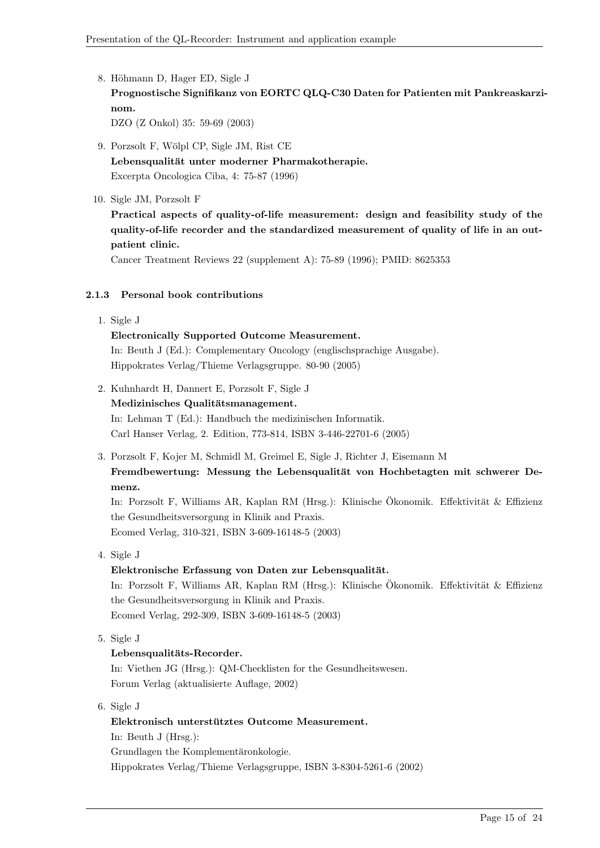- 8. Höhmann D, Hager ED, Sigle J Prognostische Signifikanz von EORTC QLQ-C30 Daten for Patienten mit Pankreaskarzinom. DZO (Z Onkol) 35: 59-69 (2003)
	-
- 9. Porzsolt F, Wölpl CP, Sigle JM, Rist CE Lebensqualität unter moderner Pharmakotherapie. Excerpta Oncologica Ciba, 4: 75-87 (1996)
- 10. Sigle JM, Porzsolt F

Practical aspects of quality-of-life measurement: design and feasibility study of the quality-of-life recorder and the standardized measurement of quality of life in an outpatient clinic.

Cancer Treatment Reviews 22 (supplement A): 75-89 (1996); PMID: 8625353

#### 2.1.3 Personal book contributions

1. Sigle J

## Electronically Supported Outcome Measurement.

In: Beuth J (Ed.): Complementary Oncology (englischsprachige Ausgabe). Hippokrates Verlag/Thieme Verlagsgruppe. 80-90 (2005)

- 2. Kuhnhardt H, Dannert E, Porzsolt F, Sigle J Medizinisches Qualitätsmanagement. In: Lehman T (Ed.): Handbuch the medizinischen Informatik. Carl Hanser Verlag, 2. Edition, 773-814, ISBN 3-446-22701-6 (2005)
- 3. Porzsolt F, Kojer M, Schmidl M, Greimel E, Sigle J, Richter J, Eisemann M Fremdbewertung: Messung the Lebensqualität von Hochbetagten mit schwerer Demenz.

In: Porzsolt F, Williams AR, Kaplan RM (Hrsg.): Klinische Ökonomik. Effektivität & Effizienz the Gesundheitsversorgung in Klinik and Praxis. Ecomed Verlag, 310-321, ISBN 3-609-16148-5 (2003)

4. Sigle J

#### Elektronische Erfassung von Daten zur Lebensqualität.

In: Porzsolt F, Williams AR, Kaplan RM (Hrsg.): Klinische Ökonomik. Effektivität & Effizienz the Gesundheitsversorgung in Klinik and Praxis. Ecomed Verlag, 292-309, ISBN 3-609-16148-5 (2003)

5. Sigle J

#### Lebensqualitäts-Recorder.

In: Viethen JG (Hrsg.): QM-Checklisten for the Gesundheitswesen. Forum Verlag (aktualisierte Auflage, 2002)

6. Sigle J

#### Elektronisch unterstütztes Outcome Measurement.

In: Beuth J (Hrsg.):

Grundlagen the Komplementäronkologie.

Hippokrates Verlag/Thieme Verlagsgruppe, ISBN 3-8304-5261-6 (2002)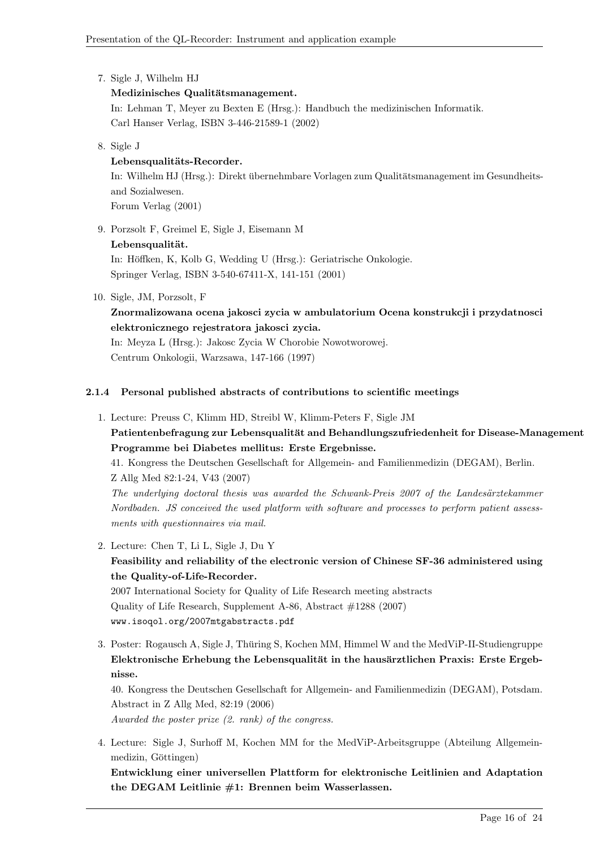7. Sigle J, Wilhelm HJ

## Medizinisches Qualitätsmanagement.

In: Lehman T, Meyer zu Bexten E (Hrsg.): Handbuch the medizinischen Informatik. Carl Hanser Verlag, ISBN 3-446-21589-1 (2002)

8. Sigle J

## Lebensqualitäts-Recorder.

In: Wilhelm HJ (Hrsg.): Direkt übernehmbare Vorlagen zum Qualitätsmanagement im Gesundheitsand Sozialwesen. Forum Verlag (2001)

- 9. Porzsolt F, Greimel E, Sigle J, Eisemann M
	- Lebensqualität.

In: Höffken, K, Kolb G, Wedding U (Hrsg.): Geriatrische Onkologie. Springer Verlag, ISBN 3-540-67411-X, 141-151 (2001)

10. Sigle, JM, Porzsolt, F

Znormalizowana ocena jakosci zycia w ambulatorium Ocena konstrukcji i przydatnosci elektronicznego rejestratora jakosci zycia.

In: Meyza L (Hrsg.): Jakosc Zycia W Chorobie Nowotworowej. Centrum Onkologii, Warzsawa, 147-166 (1997)

## 2.1.4 Personal published abstracts of contributions to scientific meetings

1. Lecture: Preuss C, Klimm HD, Streibl W, Klimm-Peters F, Sigle JM Patientenbefragung zur Lebensqualität and Behandlungszufriedenheit for Disease-Management Programme bei Diabetes mellitus: Erste Ergebnisse. 41. Kongress the Deutschen Gesellschaft for Allgemein- and Familienmedizin (DEGAM), Berlin.

Z Allg Med 82:1-24, V43 (2007) The underlying doctoral thesis was awarded the Schwank-Preis  $2007$  of the Landesärztekammer

Nordbaden. JS conceived the used platform with software and processes to perform patient assessments with questionnaires via mail.

- 2. Lecture: Chen T, Li L, Sigle J, Du Y Feasibility and reliability of the electronic version of Chinese SF-36 administered using the Quality-of-Life-Recorder. 2007 International Society for Quality of Life Research meeting abstracts Quality of Life Research, Supplement A-86, Abstract #1288 (2007) www.isoqol.org/2007mtgabstracts.pdf
- 3. Poster: Rogausch A, Sigle J, Thuring S, Kochen MM, Himmel W and the MedViP-II-Studiengruppe ¨ Elektronische Erhebung the Lebensqualität in the hausärztlichen Praxis: Erste Ergebnisse.

40. Kongress the Deutschen Gesellschaft for Allgemein- and Familienmedizin (DEGAM), Potsdam. Abstract in Z Allg Med, 82:19 (2006) Awarded the poster prize (2. rank) of the congress.

4. Lecture: Sigle J, Surhoff M, Kochen MM for the MedViP-Arbeitsgruppe (Abteilung Allgemeinmedizin, Göttingen)

Entwicklung einer universellen Plattform for elektronische Leitlinien and Adaptation the DEGAM Leitlinie #1: Brennen beim Wasserlassen.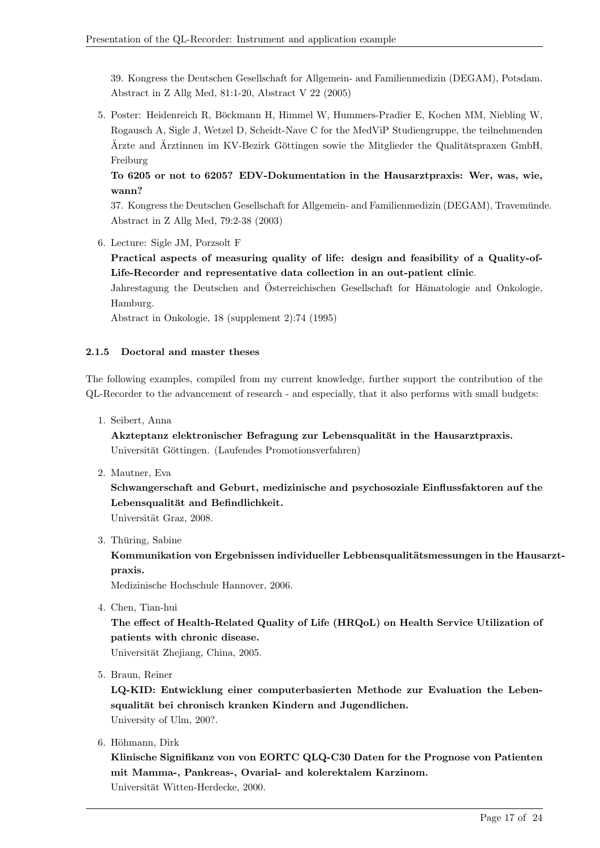39. Kongress the Deutschen Gesellschaft for Allgemein- and Familienmedizin (DEGAM), Potsdam. Abstract in Z Allg Med, 81:1-20, Abstract V 22 (2005)

5. Poster: Heidenreich R, Böckmann H, Himmel W, Hummers-Pradier E, Kochen MM, Niebling W, Rogausch A, Sigle J, Wetzel D, Scheidt-Nave C for the MedViP Studiengruppe, the teilnehmenden Ärzte and Ärztinnen im KV-Bezirk Göttingen sowie the Mitglieder the Qualitätspraxen GmbH, Freiburg

To 6205 or not to 6205? EDV-Dokumentation in the Hausarztpraxis: Wer, was, wie, wann?

37. Kongress the Deutschen Gesellschaft for Allgemein- and Familienmedizin (DEGAM), Travemunde. ¨ Abstract in Z Allg Med, 79:2-38 (2003)

6. Lecture: Sigle JM, Porzsolt F

Practical aspects of measuring quality of life: design and feasibility of a Quality-of-Life-Recorder and representative data collection in an out-patient clinic.

Jahrestagung the Deutschen and Österreichischen Gesellschaft for Hämatologie and Onkologie, Hamburg.

Abstract in Onkologie, 18 (supplement 2):74 (1995)

## 2.1.5 Doctoral and master theses

The following examples, compiled from my current knowledge, further support the contribution of the QL-Recorder to the advancement of research - and especially, that it also performs with small budgets:

1. Seibert, Anna

Akzteptanz elektronischer Befragung zur Lebensqualität in the Hausarztpraxis. Universität Göttingen. (Laufendes Promotionsverfahren)

2. Mautner, Eva

Schwangerschaft and Geburt, medizinische and psychosoziale Einflussfaktoren auf the Lebensqualität and Befindlichkeit.

Universität Graz, 2008.

3. Thüring, Sabine

Kommunikation von Ergebnissen individueller Lebbensqualitätsmessungen in the Hausarztpraxis.

Medizinische Hochschule Hannover, 2006.

4. Chen, Tian-hui

The effect of Health-Related Quality of Life (HRQoL) on Health Service Utilization of patients with chronic disease.

Universität Zhejiang, China, 2005.

5. Braun, Reiner

LQ-KID: Entwicklung einer computerbasierten Methode zur Evaluation the Lebensqualität bei chronisch kranken Kindern and Jugendlichen. University of Ulm, 200?.

6. Höhmann, Dirk

Klinische Signifikanz von von EORTC QLQ-C30 Daten for the Prognose von Patienten mit Mamma-, Pankreas-, Ovarial- and kolerektalem Karzinom. Universität Witten-Herdecke, 2000.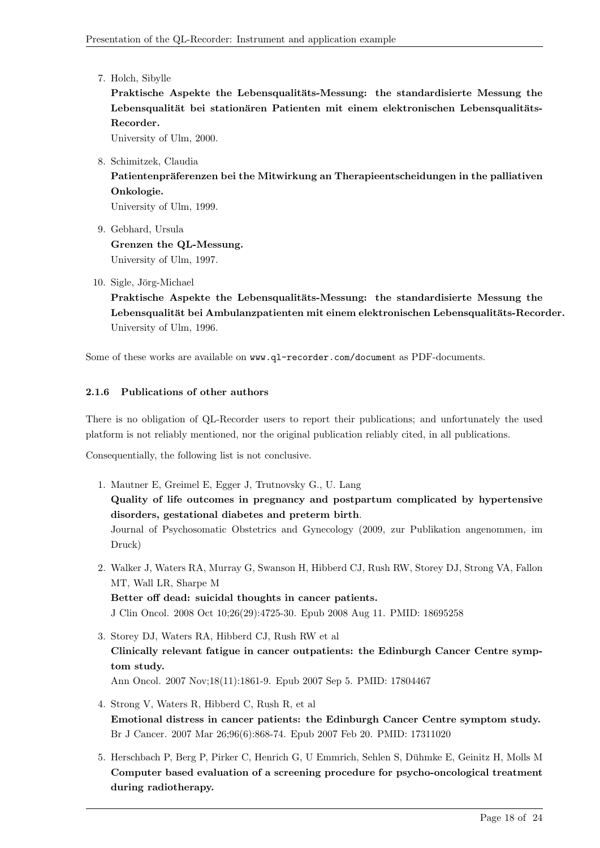7. Holch, Sibylle

Praktische Aspekte the Lebensqualitäts-Messung: the standardisierte Messung the Lebensqualität bei stationären Patienten mit einem elektronischen Lebensqualitäts-Recorder.

University of Ulm, 2000.

8. Schimitzek, Claudia

Patientenpräferenzen bei the Mitwirkung an Therapieentscheidungen in the palliativen Onkologie.

University of Ulm, 1999.

- 9. Gebhard, Ursula Grenzen the QL-Messung. University of Ulm, 1997.
- 10. Sigle, Jörg-Michael

Praktische Aspekte the Lebensqualitäts-Messung: the standardisierte Messung the Lebensqualität bei Ambulanzpatienten mit einem elektronischen Lebensqualitäts-Recorder. University of Ulm, 1996.

Some of these works are available on www.ql-recorder.com/document as PDF-documents.

## 2.1.6 Publications of other authors

There is no obligation of QL-Recorder users to report their publications; and unfortunately the used platform is not reliably mentioned, nor the original publication reliably cited, in all publications.

Consequentially, the following list is not conclusive.

1. Mautner E, Greimel E, Egger J, Trutnovsky G., U. Lang Quality of life outcomes in pregnancy and postpartum complicated by hypertensive disorders, gestational diabetes and preterm birth.

Journal of Psychosomatic Obstetrics and Gynecology (2009, zur Publikation angenommen, im Druck)

2. Walker J, Waters RA, Murray G, Swanson H, Hibberd CJ, Rush RW, Storey DJ, Strong VA, Fallon MT, Wall LR, Sharpe M

Better off dead: suicidal thoughts in cancer patients.

J Clin Oncol. 2008 Oct 10;26(29):4725-30. Epub 2008 Aug 11. PMID: 18695258

- 3. Storey DJ, Waters RA, Hibberd CJ, Rush RW et al Clinically relevant fatigue in cancer outpatients: the Edinburgh Cancer Centre symptom study. Ann Oncol. 2007 Nov;18(11):1861-9. Epub 2007 Sep 5. PMID: 17804467
- 4. Strong V, Waters R, Hibberd C, Rush R, et al Emotional distress in cancer patients: the Edinburgh Cancer Centre symptom study. Br J Cancer. 2007 Mar 26;96(6):868-74. Epub 2007 Feb 20. PMID: 17311020
- 5. Herschbach P, Berg P, Pirker C, Henrich G, U Emmrich, Sehlen S, Duhmke E, Geinitz H, Molls M ¨ Computer based evaluation of a screening procedure for psycho-oncological treatment during radiotherapy.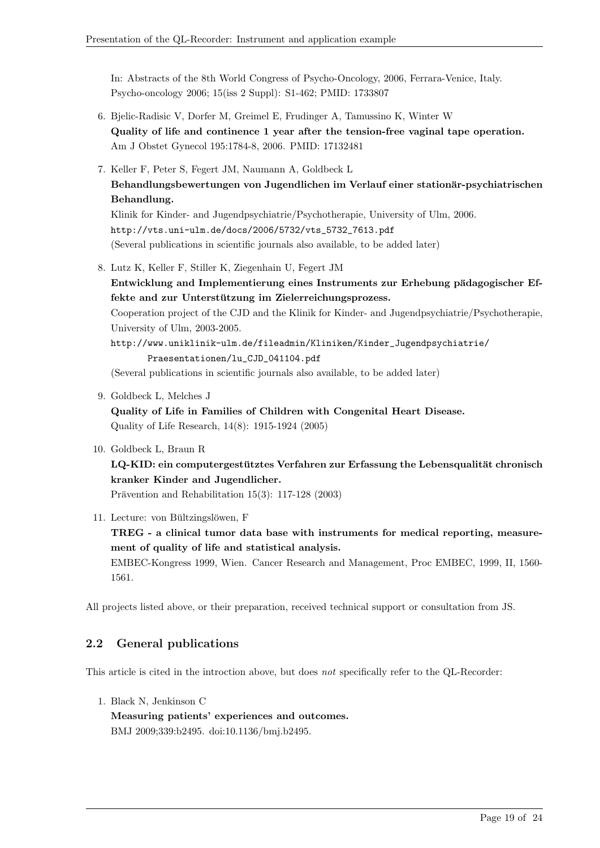In: Abstracts of the 8th World Congress of Psycho-Oncology, 2006, Ferrara-Venice, Italy. Psycho-oncology 2006; 15(iss 2 Suppl): S1-462; PMID: 1733807

- 6. Bjelic-Radisic V, Dorfer M, Greimel E, Frudinger A, Tamussino K, Winter W Quality of life and continence 1 year after the tension-free vaginal tape operation. Am J Obstet Gynecol 195:1784-8, 2006. PMID: 17132481
- 7. Keller F, Peter S, Fegert JM, Naumann A, Goldbeck L Behandlungsbewertungen von Jugendlichen im Verlauf einer stationär-psychiatrischen Behandlung.

Klinik for Kinder- and Jugendpsychiatrie/Psychotherapie, University of Ulm, 2006. http://vts.uni-ulm.de/docs/2006/5732/vts\_5732\_7613.pdf (Several publications in scientific journals also available, to be added later)

- 8. Lutz K, Keller F, Stiller K, Ziegenhain U, Fegert JM Entwicklung and Implementierung eines Instruments zur Erhebung pädagogischer Effekte and zur Unterstützung im Zielerreichungsprozess. Cooperation project of the CJD and the Klinik for Kinder- and Jugendpsychiatrie/Psychotherapie, University of Ulm, 2003-2005. http://www.uniklinik-ulm.de/fileadmin/Kliniken/Kinder\_Jugendpsychiatrie/ Praesentationen/lu\_CJD\_041104.pdf (Several publications in scientific journals also available, to be added later)
- 9. Goldbeck L, Melches J
	- Quality of Life in Families of Children with Congenital Heart Disease. Quality of Life Research, 14(8): 1915-1924 (2005)
- 10. Goldbeck L, Braun R LQ-KID: ein computergestütztes Verfahren zur Erfassung the Lebensqualität chronisch kranker Kinder and Jugendlicher. Prävention and Rehabilitation  $15(3)$ : 117-128 (2003)
- 11. Lecture: von Bültzingslöwen, F TREG - a clinical tumor data base with instruments for medical reporting, measurement of quality of life and statistical analysis. EMBEC-Kongress 1999, Wien. Cancer Research and Management, Proc EMBEC, 1999, II, 1560- 1561.

All projects listed above, or their preparation, received technical support or consultation from JS.

## 2.2 General publications

This article is cited in the introction above, but does not specifically refer to the QL-Recorder:

1. Black N, Jenkinson C

Measuring patients' experiences and outcomes. BMJ 2009;339:b2495. doi:10.1136/bmj.b2495.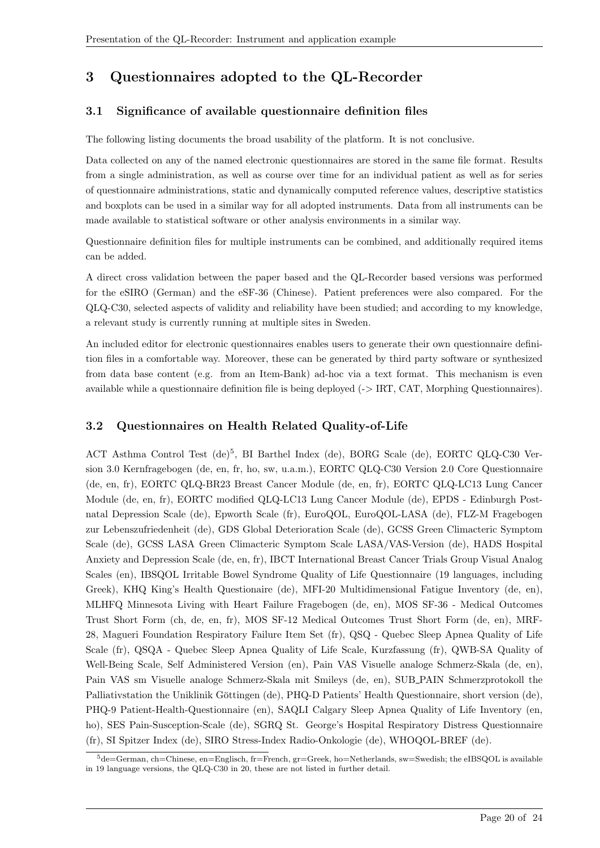# 3 Questionnaires adopted to the QL-Recorder

## 3.1 Significance of available questionnaire definition files

The following listing documents the broad usability of the platform. It is not conclusive.

Data collected on any of the named electronic questionnaires are stored in the same file format. Results from a single administration, as well as course over time for an individual patient as well as for series of questionnaire administrations, static and dynamically computed reference values, descriptive statistics and boxplots can be used in a similar way for all adopted instruments. Data from all instruments can be made available to statistical software or other analysis environments in a similar way.

Questionnaire definition files for multiple instruments can be combined, and additionally required items can be added.

A direct cross validation between the paper based and the QL-Recorder based versions was performed for the eSIRO (German) and the eSF-36 (Chinese). Patient preferences were also compared. For the QLQ-C30, selected aspects of validity and reliability have been studied; and according to my knowledge, a relevant study is currently running at multiple sites in Sweden.

An included editor for electronic questionnaires enables users to generate their own questionnaire definition files in a comfortable way. Moreover, these can be generated by third party software or synthesized from data base content (e.g. from an Item-Bank) ad-hoc via a text format. This mechanism is even available while a questionnaire definition file is being deployed (-> IRT, CAT, Morphing Questionnaires).

## 3.2 Questionnaires on Health Related Quality-of-Life

ACT Asthma Control Test (de)<sup>5</sup>, BI Barthel Index (de), BORG Scale (de), EORTC QLQ-C30 Version 3.0 Kernfragebogen (de, en, fr, ho, sw, u.a.m.), EORTC QLQ-C30 Version 2.0 Core Questionnaire (de, en, fr), EORTC QLQ-BR23 Breast Cancer Module (de, en, fr), EORTC QLQ-LC13 Lung Cancer Module (de, en, fr), EORTC modified QLQ-LC13 Lung Cancer Module (de), EPDS - Edinburgh Postnatal Depression Scale (de), Epworth Scale (fr), EuroQOL, EuroQOL-LASA (de), FLZ-M Fragebogen zur Lebenszufriedenheit (de), GDS Global Deterioration Scale (de), GCSS Green Climacteric Symptom Scale (de), GCSS LASA Green Climacteric Symptom Scale LASA/VAS-Version (de), HADS Hospital Anxiety and Depression Scale (de, en, fr), IBCT International Breast Cancer Trials Group Visual Analog Scales (en), IBSQOL Irritable Bowel Syndrome Quality of Life Questionnaire (19 languages, including Greek), KHQ King's Health Questionaire (de), MFI-20 Multidimensional Fatigue Inventory (de, en), MLHFQ Minnesota Living with Heart Failure Fragebogen (de, en), MOS SF-36 - Medical Outcomes Trust Short Form (ch, de, en, fr), MOS SF-12 Medical Outcomes Trust Short Form (de, en), MRF-28, Magueri Foundation Respiratory Failure Item Set (fr), QSQ - Quebec Sleep Apnea Quality of Life Scale (fr), QSQA - Quebec Sleep Apnea Quality of Life Scale, Kurzfassung (fr), QWB-SA Quality of Well-Being Scale, Self Administered Version (en), Pain VAS Visuelle analoge Schmerz-Skala (de, en), Pain VAS sm Visuelle analoge Schmerz-Skala mit Smileys (de, en), SUB PAIN Schmerzprotokoll the Palliativstation the Uniklinik Göttingen (de), PHQ-D Patients' Health Questionnaire, short version (de), PHQ-9 Patient-Health-Questionnaire (en), SAQLI Calgary Sleep Apnea Quality of Life Inventory (en, ho), SES Pain-Susception-Scale (de), SGRQ St. George's Hospital Respiratory Distress Questionnaire (fr), SI Spitzer Index (de), SIRO Stress-Index Radio-Onkologie (de), WHOQOL-BREF (de).

 $5$ de=German, ch=Chinese, en=Englisch, fr=French, gr=Greek, ho=Netherlands, sw=Swedish; the eIBSQOL is available in 19 language versions, the QLQ-C30 in 20, these are not listed in further detail.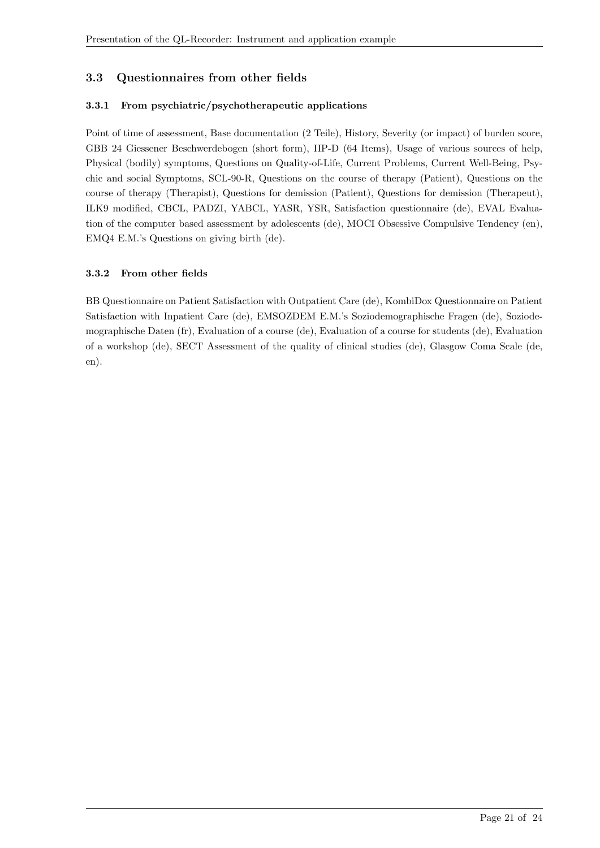## 3.3 Questionnaires from other fields

#### 3.3.1 From psychiatric/psychotherapeutic applications

Point of time of assessment, Base documentation (2 Teile), History, Severity (or impact) of burden score, GBB 24 Giessener Beschwerdebogen (short form), IIP-D (64 Items), Usage of various sources of help, Physical (bodily) symptoms, Questions on Quality-of-Life, Current Problems, Current Well-Being, Psychic and social Symptoms, SCL-90-R, Questions on the course of therapy (Patient), Questions on the course of therapy (Therapist), Questions for demission (Patient), Questions for demission (Therapeut), ILK9 modified, CBCL, PADZI, YABCL, YASR, YSR, Satisfaction questionnaire (de), EVAL Evaluation of the computer based assessment by adolescents (de), MOCI Obsessive Compulsive Tendency (en), EMQ4 E.M.'s Questions on giving birth (de).

#### 3.3.2 From other fields

BB Questionnaire on Patient Satisfaction with Outpatient Care (de), KombiDox Questionnaire on Patient Satisfaction with Inpatient Care (de), EMSOZDEM E.M.'s Soziodemographische Fragen (de), Soziodemographische Daten (fr), Evaluation of a course (de), Evaluation of a course for students (de), Evaluation of a workshop (de), SECT Assessment of the quality of clinical studies (de), Glasgow Coma Scale (de, en).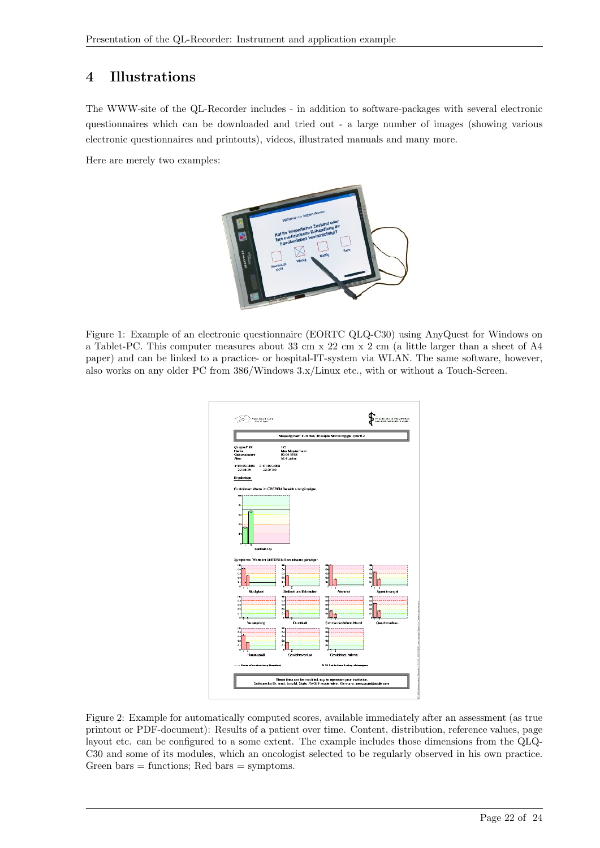# 4 Illustrations

The WWW-site of the QL-Recorder includes - in addition to software-packages with several electronic questionnaires which can be downloaded and tried out - a large number of images (showing various electronic questionnaires and printouts), videos, illustrated manuals and many more.

Here are merely two examples:



Figure 1: Example of an electronic questionnaire (EORTC QLQ-C30) using AnyQuest for Windows on a Tablet-PC. This computer measures about 33 cm x 22 cm x 2 cm (a little larger than a sheet of A4 paper) and can be linked to a practice- or hospital-IT-system via WLAN. The same software, however, also works on any older PC from 386/Windows 3.x/Linux etc., with or without a Touch-Screen.

| Messung nach Tummes' Therapie Monitoring ger gdw 0.2 |                                                                  |                                 |                           |  |  |  |  |
|------------------------------------------------------|------------------------------------------------------------------|---------------------------------|---------------------------|--|--|--|--|
| Gruppe/PID:<br>Name:<br>Geburtsdatum:<br>Atter:      | 123<br>Max Mustermann<br>03.04.1956<br>52.4 Jahre                |                                 |                           |  |  |  |  |
| 1:01.09.2008 2:01.09.2008<br>22:34:25<br>22:37:30    |                                                                  |                                 |                           |  |  |  |  |
| Ergebnisse:                                          |                                                                  |                                 |                           |  |  |  |  |
|                                                      | Funktionen: Werte im OBEREN Bereich sind günstiger.              |                                 |                           |  |  |  |  |
| $\overline{1}$                                       |                                                                  |                                 |                           |  |  |  |  |
| o.                                                   |                                                                  |                                 |                           |  |  |  |  |
| 02                                                   |                                                                  |                                 |                           |  |  |  |  |
| œ                                                    |                                                                  |                                 |                           |  |  |  |  |
| o.                                                   |                                                                  |                                 |                           |  |  |  |  |
| 'n<br>2                                              |                                                                  |                                 |                           |  |  |  |  |
| Globale LG                                           |                                                                  |                                 |                           |  |  |  |  |
| <b>ISO</b>                                           | Symptome: Werte im UNTEREN Bereich sind günstiger.<br><b>ISC</b> | <b>IDD</b>                      | <b>Imp</b>                |  |  |  |  |
| $^{a}$<br>œ                                          | ò.<br>œ                                                          | a.<br>á3                        | n.<br>ó3                  |  |  |  |  |
| Q2<br>$\sigma$                                       | Q2<br>ó                                                          | å2<br>å.                        | 02<br>$\ddot{\mathbf{a}}$ |  |  |  |  |
| ×<br>Müdigkeit                                       | Übelkeit und Erbrechen                                           | Atemnot                         | Appelimangel              |  |  |  |  |
| m<br>$^{a}$                                          | <b>ISO</b><br>ň.                                                 | <b>IDD</b><br>ö.                | <b>Imp</b><br>ò.          |  |  |  |  |
| œ<br>Q <sub>2</sub>                                  | œ<br>Q <sub>2</sub>                                              | ö.<br>$^{22}$                   | å)<br>$^{22}$             |  |  |  |  |
| $\bullet$<br>٥Ŀ<br>٦                                 | å)<br>ø                                                          | å)                              | $\bullet$                 |  |  |  |  |
| Verstopfung<br>m                                     | Durchlaft<br><b>International</b>                                | Schmerzen/Wund Mu<br><b>IDE</b> | Geschmacksv.              |  |  |  |  |
| $^{a}$                                               | o.                                                               | ö.                              |                           |  |  |  |  |
| os<br>Q2                                             | os<br>$^{22}$                                                    | å3<br>$^{12}$                   |                           |  |  |  |  |
| o.                                                   | ă.<br>n<br>S                                                     | ۰<br>n<br>з                     |                           |  |  |  |  |
| n                                                    |                                                                  |                                 |                           |  |  |  |  |
| Haara ustatt                                         | Gewichtsverlust                                                  | Gewichtszunahme                 |                           |  |  |  |  |

Figure 2: Example for automatically computed scores, available immediately after an assessment (as true printout or PDF-document): Results of a patient over time. Content, distribution, reference values, page layout etc. can be configured to a some extent. The example includes those dimensions from the QLQ-C30 and some of its modules, which an oncologist selected to be regularly observed in his own practice. Green bars  $=$  functions; Red bars  $=$  symptoms.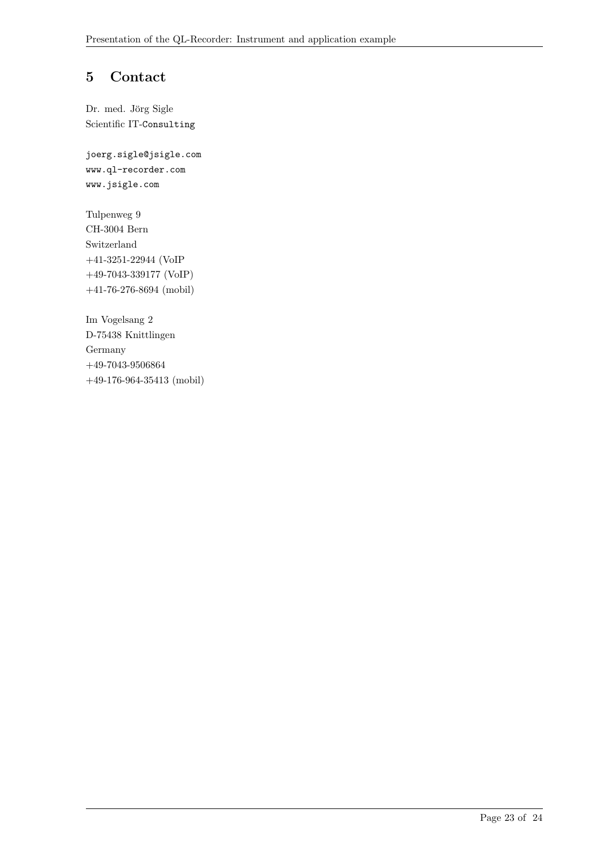## 5 Contact

Dr. med. Jörg Sigle Scientific IT-Consulting

joerg.sigle@jsigle.com www.ql-recorder.com www.jsigle.com

Tulpenweg 9 CH-3004 Bern Switzerland +41-3251-22944 (VoIP +49-7043-339177 (VoIP) +41-76-276-8694 (mobil)

Im Vogelsang 2 D-75438 Knittlingen Germany  $+49-7043-9506864$ +49-176-964-35413 (mobil)